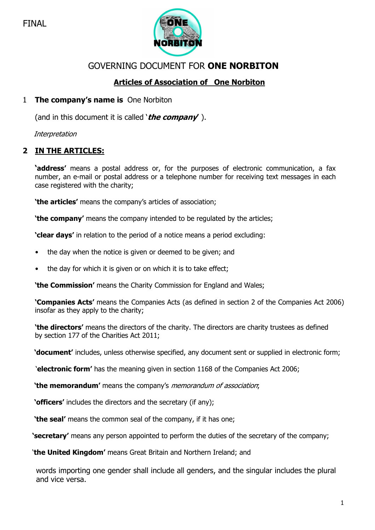

# GOVERNING DOCUMENT FOR ONE NORBITON

# Articles of Association of One Norbiton

# 1 The company's name is One Norbiton

(and in this document it is called '*the company'*).

**Interpretation** 

# 2 IN THE ARTICLES:

**'address'** means a postal address or, for the purposes of electronic communication, a fax number, an e-mail or postal address or a telephone number for receiving text messages in each case registered with the charity;

'the articles' means the company's articles of association;

'the company' means the company intended to be regulated by the articles;

'clear days' in relation to the period of a notice means a period excluding:

- the day when the notice is given or deemed to be given; and
- the day for which it is given or on which it is to take effect;

**'the Commission'** means the Charity Commission for England and Wales;

'Companies Acts' means the Companies Acts (as defined in section 2 of the Companies Act 2006) insofar as they apply to the charity;

'the directors' means the directors of the charity. The directors are charity trustees as defined by section 177 of the Charities Act 2011;

'document' includes, unless otherwise specified, any document sent or supplied in electronic form;

'electronic form' has the meaning given in section 1168 of the Companies Act 2006;

'the memorandum' means the company's memorandum of association;

'officers' includes the directors and the secretary (if any);

**'the seal'** means the common seal of the company, if it has one:

**Secretary'** means any person appointed to perform the duties of the secretary of the company;

'the United Kingdom' means Great Britain and Northern Ireland; and

words importing one gender shall include all genders, and the singular includes the plural and vice versa.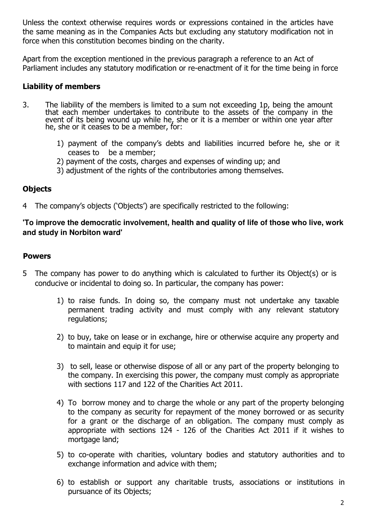Unless the context otherwise requires words or expressions contained in the articles have the same meaning as in the Companies Acts but excluding any statutory modification not in force when this constitution becomes binding on the charity.

Apart from the exception mentioned in the previous paragraph a reference to an Act of Parliament includes any statutory modification or re-enactment of it for the time being in force

# Liability of members

- 3. The liability of the members is limited to a sum not exceeding 1p, being the amount that each member undertakes to contribute to the assets of the company in the event of its being wound up while he, she or it is a member or within one year after he, she or it ceases to be a member, for:
	- 1) payment of the company's debts and liabilities incurred before he, she or it ceases to be a member;
	- 2) payment of the costs, charges and expenses of winding up; and
	- 3) adjustment of the rights of the contributories among themselves.

### **Objects**

4 The company's objects ('Objects') are specifically restricted to the following:

### **'To improve the democratic involvement, health and quality of life of those who live, work and study in Norbiton ward'**

### Powers

- 5 The company has power to do anything which is calculated to further its Object(s) or is conducive or incidental to doing so. In particular, the company has power:
	- 1) to raise funds. In doing so, the company must not undertake any taxable permanent trading activity and must comply with any relevant statutory regulations;
	- 2) to buy, take on lease or in exchange, hire or otherwise acquire any property and to maintain and equip it for use;
	- 3) to sell, lease or otherwise dispose of all or any part of the property belonging to the company. In exercising this power, the company must comply as appropriate with sections 117 and 122 of the Charities Act 2011.
	- 4) To borrow money and to charge the whole or any part of the property belonging to the company as security for repayment of the money borrowed or as security for a grant or the discharge of an obligation. The company must comply as appropriate with sections 124 - 126 of the Charities Act 2011 if it wishes to mortgage land;
	- 5) to co-operate with charities, voluntary bodies and statutory authorities and to exchange information and advice with them;
	- 6) to establish or support any charitable trusts, associations or institutions in pursuance of its Objects;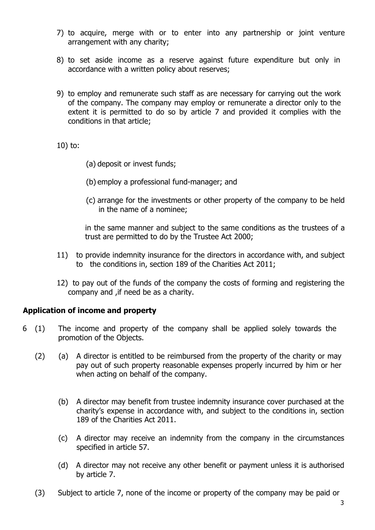- 7) to acquire, merge with or to enter into any partnership or joint venture arrangement with any charity;
- 8) to set aside income as a reserve against future expenditure but only in accordance with a written policy about reserves;
- 9) to employ and remunerate such staff as are necessary for carrying out the work of the company. The company may employ or remunerate a director only to the extent it is permitted to do so by article 7 and provided it complies with the conditions in that article;

10) to:

- (a) deposit or invest funds;
- (b) employ a professional fund-manager; and
- (c) arrange for the investments or other property of the company to be held in the name of a nominee;

in the same manner and subject to the same conditions as the trustees of a trust are permitted to do by the Trustee Act 2000;

- 11) to provide indemnity insurance for the directors in accordance with, and subject to the conditions in, section 189 of the Charities Act 2011;
- 12) to pay out of the funds of the company the costs of forming and registering the company and ,if need be as a charity.

### Application of income and property

- 6 (1) The income and property of the company shall be applied solely towards the promotion of the Objects.
	- (2) (a) A director is entitled to be reimbursed from the property of the charity or may pay out of such property reasonable expenses properly incurred by him or her when acting on behalf of the company.
		- (b) A director may benefit from trustee indemnity insurance cover purchased at the charity's expense in accordance with, and subject to the conditions in, section 189 of the Charities Act 2011.
		- (c) A director may receive an indemnity from the company in the circumstances specified in article 57.
		- (d) A director may not receive any other benefit or payment unless it is authorised by article 7.
	- (3) Subject to article 7, none of the income or property of the company may be paid or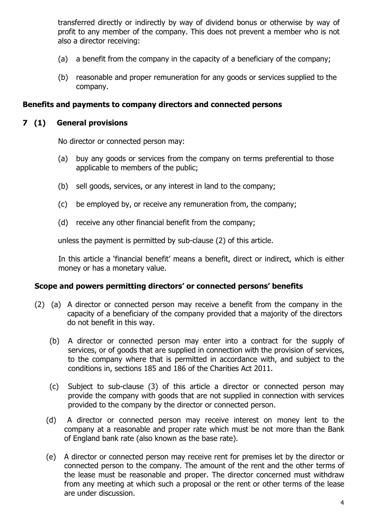transferred directly or indirectly by way of dividend bonus or otherwise by way of profit to any member of the company. This does not prevent a member who is not also a director receiving:

- (a) a benefit from the company in the capacity of a beneficiary of the company;
- (b) reasonable and proper remuneration for any goods or services supplied to the company.

#### Benefits and payments to company directors and connected persons

#### 7 (1) General provisions

No director or connected person may:

- (a) buy any goods or services from the company on terms preferential to those applicable to members of the public;
- (b) sell goods, services, or any interest in land to the company;
- (c) be employed by, or receive any remuneration from, the company;
- (d) receive any other financial benefit from the company;

unless the payment is permitted by sub-clause (2) of this article.

In this article a 'financial benefit' means a benefit, direct or indirect, which is either money or has a monetary value.

### Scope and powers permitting directors' or connected persons' benefits

- (2) (a) A director or connected person may receive a benefit from the company in the capacity of a beneficiary of the company provided that a majority of the directors do not benefit in this way.
	- (b) A director or connected person may enter into a contract for the supply of services, or of goods that are supplied in connection with the provision of services, to the company where that is permitted in accordance with, and subject to the conditions in, sections 185 and 186 of the Charities Act 2011.
	- (c) Subject to sub-clause (3) of this article a director or connected person may provide the company with goods that are not supplied in connection with services provided to the company by the director or connected person.
	- (d) A director or connected person may receive interest on money lent to the company at a reasonable and proper rate which must be not more than the Bank of England bank rate (also known as the base rate).
	- (e) A director or connected person may receive rent for premises let by the director or connected person to the company. The amount of the rent and the other terms of the lease must be reasonable and proper. The director concerned must withdraw from any meeting at which such a proposal or the rent or other terms of the lease are under discussion.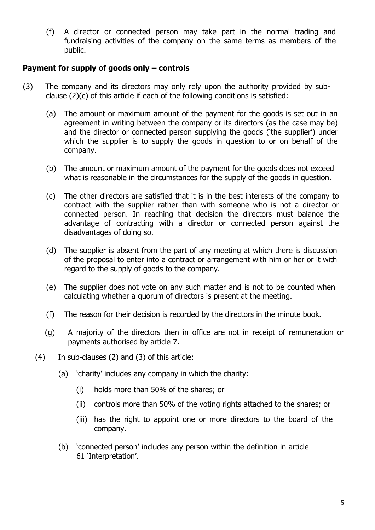(f) A director or connected person may take part in the normal trading and fundraising activities of the company on the same terms as members of the public.

### Payment for supply of goods only – controls

- (3) The company and its directors may only rely upon the authority provided by subclause (2)(c) of this article if each of the following conditions is satisfied:
	- (a) The amount or maximum amount of the payment for the goods is set out in an agreement in writing between the company or its directors (as the case may be) and the director or connected person supplying the goods ('the supplier') under which the supplier is to supply the goods in question to or on behalf of the company.
	- (b) The amount or maximum amount of the payment for the goods does not exceed what is reasonable in the circumstances for the supply of the goods in question.
	- (c) The other directors are satisfied that it is in the best interests of the company to contract with the supplier rather than with someone who is not a director or connected person. In reaching that decision the directors must balance the advantage of contracting with a director or connected person against the disadvantages of doing so.
	- (d) The supplier is absent from the part of any meeting at which there is discussion of the proposal to enter into a contract or arrangement with him or her or it with regard to the supply of goods to the company.
	- (e) The supplier does not vote on any such matter and is not to be counted when calculating whether a quorum of directors is present at the meeting.
	- (f) The reason for their decision is recorded by the directors in the minute book.
	- (g) A majority of the directors then in office are not in receipt of remuneration or payments authorised by article 7.
	- (4) In sub-clauses (2) and (3) of this article:
		- (a) 'charity' includes any company in which the charity:
			- (i) holds more than 50% of the shares; or
			- (ii) controls more than 50% of the voting rights attached to the shares; or
			- (iii) has the right to appoint one or more directors to the board of the company.
		- (b) 'connected person' includes any person within the definition in article 61 'Interpretation'.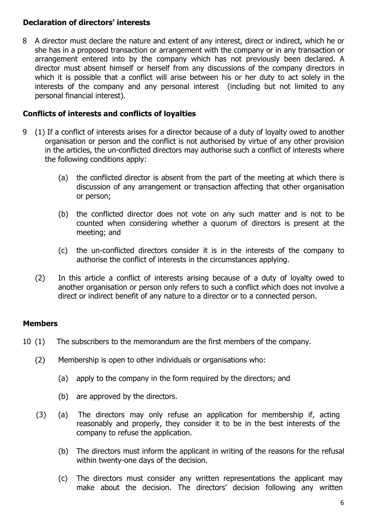# Declaration of directors' interests

8 A director must declare the nature and extent of any interest, direct or indirect, which he or she has in a proposed transaction or arrangement with the company or in any transaction or arrangement entered into by the company which has not previously been declared. A director must absent himself or herself from any discussions of the company directors in which it is possible that a conflict will arise between his or her duty to act solely in the interests of the company and any personal interest (including but not limited to any personal financial interest).

### Conflicts of interests and conflicts of loyalties

- 9 (1) If a conflict of interests arises for a director because of a duty of loyalty owed to another organisation or person and the conflict is not authorised by virtue of any other provision in the articles, the un-conflicted directors may authorise such a conflict of interests where the following conditions apply:
	- (a) the conflicted director is absent from the part of the meeting at which there is discussion of any arrangement or transaction affecting that other organisation or person;
	- (b) the conflicted director does not vote on any such matter and is not to be counted when considering whether a quorum of directors is present at the meeting; and
	- (c) the un-conflicted directors consider it is in the interests of the company to authorise the conflict of interests in the circumstances applying.
	- (2) In this article a conflict of interests arising because of a duty of loyalty owed to another organisation or person only refers to such a conflict which does not involve a direct or indirect benefit of any nature to a director or to a connected person.

# **Members**

- 10 (1) The subscribers to the memorandum are the first members of the company.
	- (2) Membership is open to other individuals or organisations who:
		- (a) apply to the company in the form required by the directors; and
		- (b) are approved by the directors.
	- (3) (a) The directors may only refuse an application for membership if, acting reasonably and properly, they consider it to be in the best interests of the company to refuse the application.
		- (b) The directors must inform the applicant in writing of the reasons for the refusal within twenty-one days of the decision.
		- (c) The directors must consider any written representations the applicant may make about the decision. The directors' decision following any written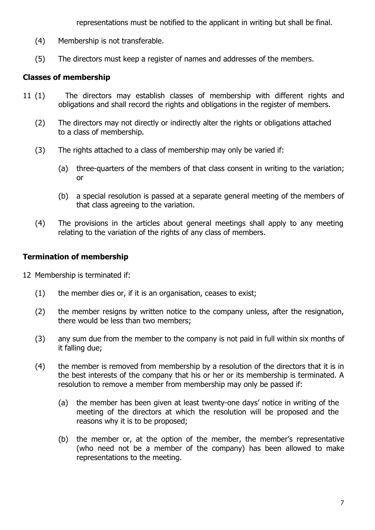representations must be notified to the applicant in writing but shall be final.

- (4) Membership is not transferable.
- (5) The directors must keep a register of names and addresses of the members.

# Classes of membership

- 11 (1) The directors may establish classes of membership with different rights and obligations and shall record the rights and obligations in the register of members.
	- (2) The directors may not directly or indirectly alter the rights or obligations attached to a class of membership.
	- (3) The rights attached to a class of membership may only be varied if:
		- (a) three-quarters of the members of that class consent in writing to the variation; or
		- (b) a special resolution is passed at a separate general meeting of the members of that class agreeing to the variation.
	- (4) The provisions in the articles about general meetings shall apply to any meeting relating to the variation of the rights of any class of members.

### Termination of membership

- 12 Membership is terminated if:
	- (1) the member dies or, if it is an organisation, ceases to exist;
	- (2) the member resigns by written notice to the company unless, after the resignation, there would be less than two members;
	- (3) any sum due from the member to the company is not paid in full within six months of it falling due;
	- (4) the member is removed from membership by a resolution of the directors that it is in the best interests of the company that his or her or its membership is terminated. A resolution to remove a member from membership may only be passed if:
		- (a) the member has been given at least twenty-one days' notice in writing of the meeting of the directors at which the resolution will be proposed and the reasons why it is to be proposed;
		- (b) the member or, at the option of the member, the member's representative (who need not be a member of the company) has been allowed to make representations to the meeting.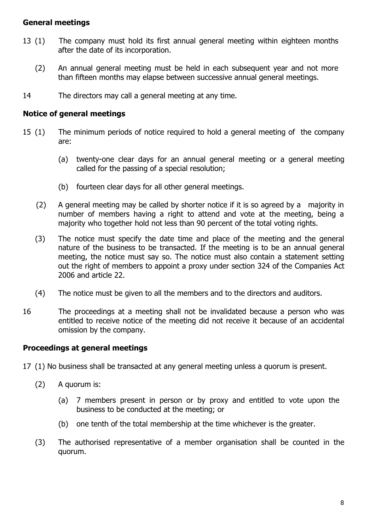### General meetings

- 13 (1) The company must hold its first annual general meeting within eighteen months after the date of its incorporation.
	- (2) An annual general meeting must be held in each subsequent year and not more than fifteen months may elapse between successive annual general meetings.
- 14 The directors may call a general meeting at any time.

### Notice of general meetings

- 15 (1) The minimum periods of notice required to hold a general meeting of the company are:
	- (a) twenty-one clear days for an annual general meeting or a general meeting called for the passing of a special resolution;
	- (b) fourteen clear days for all other general meetings.
	- (2) A general meeting may be called by shorter notice if it is so agreed by a majority in number of members having a right to attend and vote at the meeting, being a majority who together hold not less than 90 percent of the total voting rights.
	- (3) The notice must specify the date time and place of the meeting and the general nature of the business to be transacted. If the meeting is to be an annual general meeting, the notice must say so. The notice must also contain a statement setting out the right of members to appoint a proxy under section 324 of the Companies Act 2006 and article 22.
	- (4) The notice must be given to all the members and to the directors and auditors.
- 16 The proceedings at a meeting shall not be invalidated because a person who was entitled to receive notice of the meeting did not receive it because of an accidental omission by the company.

# Proceedings at general meetings

- 17 (1) No business shall be transacted at any general meeting unless a quorum is present.
	- (2) A quorum is:
		- (a) 7 members present in person or by proxy and entitled to vote upon the business to be conducted at the meeting; or
		- (b) one tenth of the total membership at the time whichever is the greater.
	- (3) The authorised representative of a member organisation shall be counted in the quorum.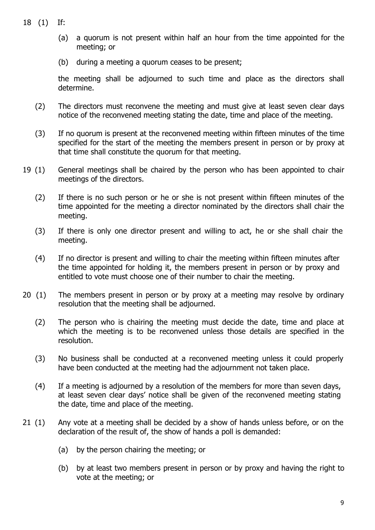- 18 (1) If:
	- (a) a quorum is not present within half an hour from the time appointed for the meeting; or
	- (b) during a meeting a quorum ceases to be present;

the meeting shall be adjourned to such time and place as the directors shall determine.

- (2) The directors must reconvene the meeting and must give at least seven clear days notice of the reconvened meeting stating the date, time and place of the meeting.
- (3) If no quorum is present at the reconvened meeting within fifteen minutes of the time specified for the start of the meeting the members present in person or by proxy at that time shall constitute the quorum for that meeting.
- 19 (1) General meetings shall be chaired by the person who has been appointed to chair meetings of the directors.
	- (2) If there is no such person or he or she is not present within fifteen minutes of the time appointed for the meeting a director nominated by the directors shall chair the meeting.
	- (3) If there is only one director present and willing to act, he or she shall chair the meeting.
	- (4) If no director is present and willing to chair the meeting within fifteen minutes after the time appointed for holding it, the members present in person or by proxy and entitled to vote must choose one of their number to chair the meeting.
- 20 (1) The members present in person or by proxy at a meeting may resolve by ordinary resolution that the meeting shall be adjourned.
	- (2) The person who is chairing the meeting must decide the date, time and place at which the meeting is to be reconvened unless those details are specified in the resolution.
	- (3) No business shall be conducted at a reconvened meeting unless it could properly have been conducted at the meeting had the adjournment not taken place.
	- (4) If a meeting is adjourned by a resolution of the members for more than seven days, at least seven clear days' notice shall be given of the reconvened meeting stating the date, time and place of the meeting.
- 21 (1) Any vote at a meeting shall be decided by a show of hands unless before, or on the declaration of the result of, the show of hands a poll is demanded:
	- (a) by the person chairing the meeting; or
	- (b) by at least two members present in person or by proxy and having the right to vote at the meeting; or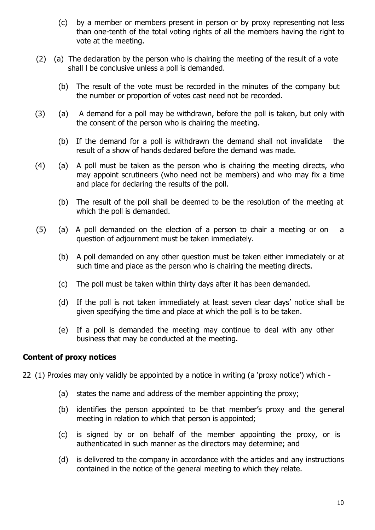- (c) by a member or members present in person or by proxy representing not less than one-tenth of the total voting rights of all the members having the right to vote at the meeting.
- (2) (a) The declaration by the person who is chairing the meeting of the result of a vote shall l be conclusive unless a poll is demanded.
	- (b) The result of the vote must be recorded in the minutes of the company but the number or proportion of votes cast need not be recorded.
- (3) (a) A demand for a poll may be withdrawn, before the poll is taken, but only with the consent of the person who is chairing the meeting.
	- (b) If the demand for a poll is withdrawn the demand shall not invalidate the result of a show of hands declared before the demand was made.
- (4) (a) A poll must be taken as the person who is chairing the meeting directs, who may appoint scrutineers (who need not be members) and who may fix a time and place for declaring the results of the poll.
	- (b) The result of the poll shall be deemed to be the resolution of the meeting at which the poll is demanded.
- (5) (a) A poll demanded on the election of a person to chair a meeting or on a question of adjournment must be taken immediately.
	- (b) A poll demanded on any other question must be taken either immediately or at such time and place as the person who is chairing the meeting directs.
	- (c) The poll must be taken within thirty days after it has been demanded.
	- (d) If the poll is not taken immediately at least seven clear days' notice shall be given specifying the time and place at which the poll is to be taken.
	- (e) If a poll is demanded the meeting may continue to deal with any other business that may be conducted at the meeting.

### Content of proxy notices

- 22 (1) Proxies may only validly be appointed by a notice in writing (a 'proxy notice') which
	- (a) states the name and address of the member appointing the proxy;
	- (b) identifies the person appointed to be that member's proxy and the general meeting in relation to which that person is appointed;
	- (c) is signed by or on behalf of the member appointing the proxy, or is authenticated in such manner as the directors may determine; and
	- (d) is delivered to the company in accordance with the articles and any instructions contained in the notice of the general meeting to which they relate.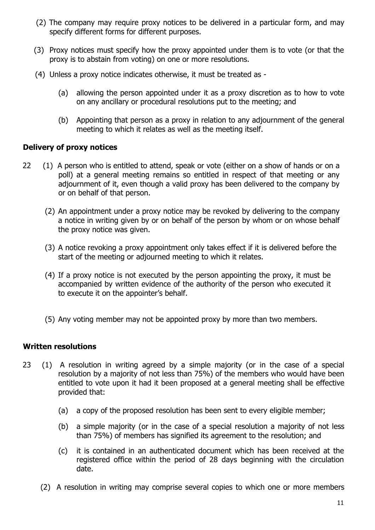- (2) The company may require proxy notices to be delivered in a particular form, and may specify different forms for different purposes.
- (3) Proxy notices must specify how the proxy appointed under them is to vote (or that the proxy is to abstain from voting) on one or more resolutions.
- (4) Unless a proxy notice indicates otherwise, it must be treated as
	- (a) allowing the person appointed under it as a proxy discretion as to how to vote on any ancillary or procedural resolutions put to the meeting; and
	- (b) Appointing that person as a proxy in relation to any adjournment of the general meeting to which it relates as well as the meeting itself.

### Delivery of proxy notices

- 22 (1) A person who is entitled to attend, speak or vote (either on a show of hands or on a poll) at a general meeting remains so entitled in respect of that meeting or any adjournment of it, even though a valid proxy has been delivered to the company by or on behalf of that person.
	- (2) An appointment under a proxy notice may be revoked by delivering to the company a notice in writing given by or on behalf of the person by whom or on whose behalf the proxy notice was given.
	- (3) A notice revoking a proxy appointment only takes effect if it is delivered before the start of the meeting or adjourned meeting to which it relates.
	- (4) If a proxy notice is not executed by the person appointing the proxy, it must be accompanied by written evidence of the authority of the person who executed it to execute it on the appointer's behalf.
	- (5) Any voting member may not be appointed proxy by more than two members.

### Written resolutions

- 23 (1) A resolution in writing agreed by a simple majority (or in the case of a special resolution by a majority of not less than 75%) of the members who would have been entitled to vote upon it had it been proposed at a general meeting shall be effective provided that:
	- (a) a copy of the proposed resolution has been sent to every eligible member;
	- (b) a simple majority (or in the case of a special resolution a majority of not less than 75%) of members has signified its agreement to the resolution; and
	- (c) it is contained in an authenticated document which has been received at the registered office within the period of 28 days beginning with the circulation date.
	- (2) A resolution in writing may comprise several copies to which one or more members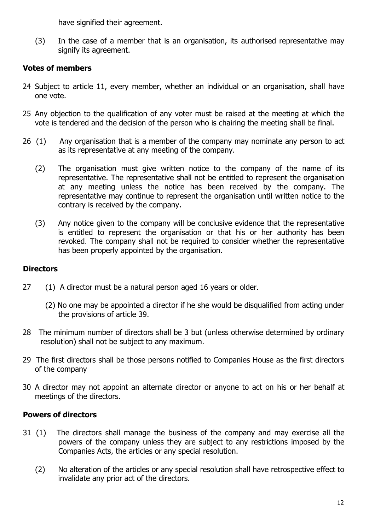have signified their agreement.

(3) In the case of a member that is an organisation, its authorised representative may signify its agreement.

# Votes of members

- 24 Subject to article 11, every member, whether an individual or an organisation, shall have one vote.
- 25 Any objection to the qualification of any voter must be raised at the meeting at which the vote is tendered and the decision of the person who is chairing the meeting shall be final.
- 26 (1) Any organisation that is a member of the company may nominate any person to act as its representative at any meeting of the company.
	- (2) The organisation must give written notice to the company of the name of its representative. The representative shall not be entitled to represent the organisation at any meeting unless the notice has been received by the company. The representative may continue to represent the organisation until written notice to the contrary is received by the company.
	- (3) Any notice given to the company will be conclusive evidence that the representative is entitled to represent the organisation or that his or her authority has been revoked. The company shall not be required to consider whether the representative has been properly appointed by the organisation.

# **Directors**

- 27 (1) A director must be a natural person aged 16 years or older.
	- (2) No one may be appointed a director if he she would be disqualified from acting under the provisions of article 39.
- 28 The minimum number of directors shall be 3 but (unless otherwise determined by ordinary resolution) shall not be subject to any maximum.
- 29 The first directors shall be those persons notified to Companies House as the first directors of the company
- 30 A director may not appoint an alternate director or anyone to act on his or her behalf at meetings of the directors.

# Powers of directors

- 31 (1) The directors shall manage the business of the company and may exercise all the powers of the company unless they are subject to any restrictions imposed by the Companies Acts, the articles or any special resolution.
	- (2) No alteration of the articles or any special resolution shall have retrospective effect to invalidate any prior act of the directors.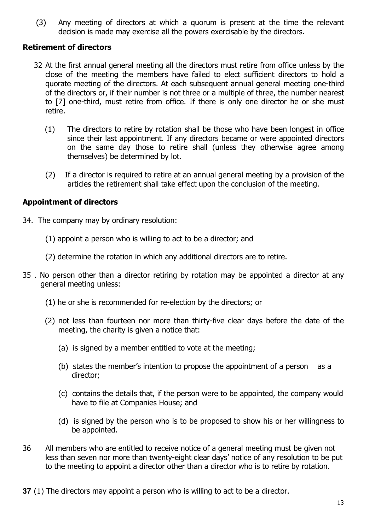(3) Any meeting of directors at which a quorum is present at the time the relevant decision is made may exercise all the powers exercisable by the directors.

### Retirement of directors

- 32 At the first annual general meeting all the directors must retire from office unless by the close of the meeting the members have failed to elect sufficient directors to hold a quorate meeting of the directors. At each subsequent annual general meeting one-third of the directors or, if their number is not three or a multiple of three, the number nearest to [7] one-third, must retire from office. If there is only one director he or she must retire.
	- (1) The directors to retire by rotation shall be those who have been longest in office since their last appointment. If any directors became or were appointed directors on the same day those to retire shall (unless they otherwise agree among themselves) be determined by lot.
	- (2) If a director is required to retire at an annual general meeting by a provision of the articles the retirement shall take effect upon the conclusion of the meeting.

#### Appointment of directors

- 34. The company may by ordinary resolution:
	- (1) appoint a person who is willing to act to be a director; and
	- (2) determine the rotation in which any additional directors are to retire.
- 35 . No person other than a director retiring by rotation may be appointed a director at any general meeting unless:
	- (1) he or she is recommended for re-election by the directors; or
	- (2) not less than fourteen nor more than thirty-five clear days before the date of the meeting, the charity is given a notice that:
		- (a) is signed by a member entitled to vote at the meeting;
		- (b) states the member's intention to propose the appointment of a person as a director;
		- (c) contains the details that, if the person were to be appointed, the company would have to file at Companies House; and
		- (d) is signed by the person who is to be proposed to show his or her willingness to be appointed.
- 36 All members who are entitled to receive notice of a general meeting must be given not less than seven nor more than twenty-eight clear days' notice of any resolution to be put to the meeting to appoint a director other than a director who is to retire by rotation.
- **37** (1) The directors may appoint a person who is willing to act to be a director.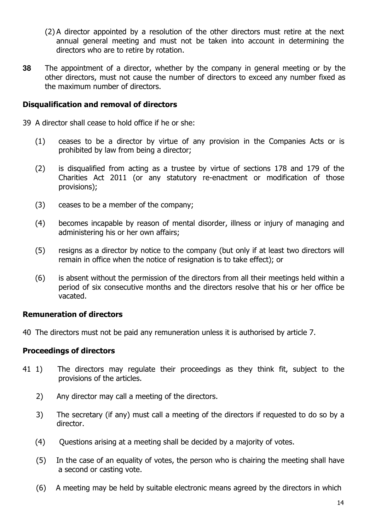- (2) A director appointed by a resolution of the other directors must retire at the next annual general meeting and must not be taken into account in determining the directors who are to retire by rotation.
- **38** The appointment of a director, whether by the company in general meeting or by the other directors, must not cause the number of directors to exceed any number fixed as the maximum number of directors.

#### Disqualification and removal of directors

- 39 A director shall cease to hold office if he or she:
	- (1) ceases to be a director by virtue of any provision in the Companies Acts or is prohibited by law from being a director;
	- (2) is disqualified from acting as a trustee by virtue of sections 178 and 179 of the Charities Act 2011 (or any statutory re-enactment or modification of those provisions);
	- (3) ceases to be a member of the company;
	- (4) becomes incapable by reason of mental disorder, illness or injury of managing and administering his or her own affairs;
	- (5) resigns as a director by notice to the company (but only if at least two directors will remain in office when the notice of resignation is to take effect); or
	- (6) is absent without the permission of the directors from all their meetings held within a period of six consecutive months and the directors resolve that his or her office be vacated.

### Remuneration of directors

40 The directors must not be paid any remuneration unless it is authorised by article 7.

### Proceedings of directors

- 41 1) The directors may regulate their proceedings as they think fit, subject to the provisions of the articles.
	- 2) Any director may call a meeting of the directors.
	- 3) The secretary (if any) must call a meeting of the directors if requested to do so by a director.
	- (4) Questions arising at a meeting shall be decided by a majority of votes.
	- (5) In the case of an equality of votes, the person who is chairing the meeting shall have a second or casting vote.
	- (6) A meeting may be held by suitable electronic means agreed by the directors in which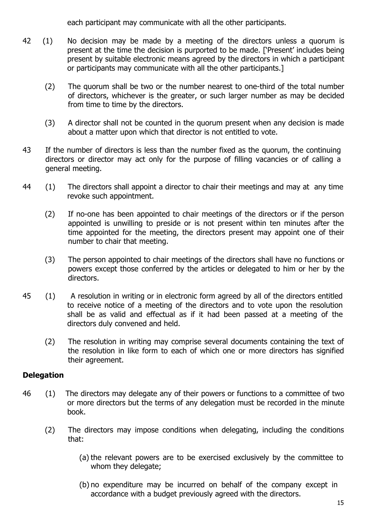each participant may communicate with all the other participants.

- 42 (1) No decision may be made by a meeting of the directors unless a quorum is present at the time the decision is purported to be made. ['Present' includes being present by suitable electronic means agreed by the directors in which a participant or participants may communicate with all the other participants.]
	- (2) The quorum shall be two or the number nearest to one-third of the total number of directors, whichever is the greater, or such larger number as may be decided from time to time by the directors.
	- (3) A director shall not be counted in the quorum present when any decision is made about a matter upon which that director is not entitled to vote.
- 43 If the number of directors is less than the number fixed as the quorum, the continuing directors or director may act only for the purpose of filling vacancies or of calling a general meeting.
- 44 (1) The directors shall appoint a director to chair their meetings and may at any time revoke such appointment.
	- (2) If no-one has been appointed to chair meetings of the directors or if the person appointed is unwilling to preside or is not present within ten minutes after the time appointed for the meeting, the directors present may appoint one of their number to chair that meeting.
	- (3) The person appointed to chair meetings of the directors shall have no functions or powers except those conferred by the articles or delegated to him or her by the directors.
- 45 (1) A resolution in writing or in electronic form agreed by all of the directors entitled to receive notice of a meeting of the directors and to vote upon the resolution shall be as valid and effectual as if it had been passed at a meeting of the directors duly convened and held.
	- (2) The resolution in writing may comprise several documents containing the text of the resolution in like form to each of which one or more directors has signified their agreement.

# **Delegation**

- 46 (1) The directors may delegate any of their powers or functions to a committee of two or more directors but the terms of any delegation must be recorded in the minute book.
	- (2) The directors may impose conditions when delegating, including the conditions that:
		- (a) the relevant powers are to be exercised exclusively by the committee to whom they delegate;
		- (b) no expenditure may be incurred on behalf of the company except in accordance with a budget previously agreed with the directors.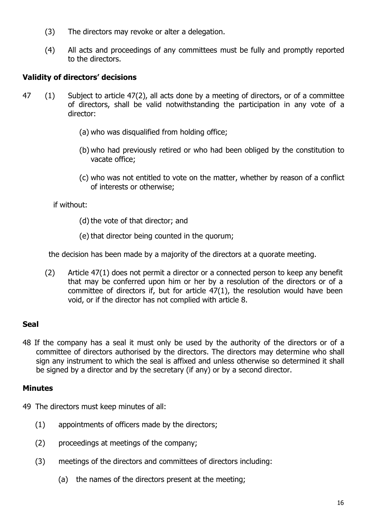- (3) The directors may revoke or alter a delegation.
- (4) All acts and proceedings of any committees must be fully and promptly reported to the directors.

# Validity of directors' decisions

- 47 (1) Subject to article 47(2), all acts done by a meeting of directors, or of a committee of directors, shall be valid notwithstanding the participation in any vote of a director:
	- (a) who was disqualified from holding office;
	- (b) who had previously retired or who had been obliged by the constitution to vacate office;
	- (c) who was not entitled to vote on the matter, whether by reason of a conflict of interests or otherwise;

if without:

- (d) the vote of that director; and
- (e) that director being counted in the quorum;

the decision has been made by a majority of the directors at a quorate meeting.

(2) Article 47(1) does not permit a director or a connected person to keep any benefit that may be conferred upon him or her by a resolution of the directors or of a committee of directors if, but for article 47(1), the resolution would have been void, or if the director has not complied with article 8.

# Seal

48 If the company has a seal it must only be used by the authority of the directors or of a committee of directors authorised by the directors. The directors may determine who shall sign any instrument to which the seal is affixed and unless otherwise so determined it shall be signed by a director and by the secretary (if any) or by a second director.

# Minutes

- 49 The directors must keep minutes of all:
	- (1) appointments of officers made by the directors;
	- (2) proceedings at meetings of the company;
	- (3) meetings of the directors and committees of directors including:
		- (a) the names of the directors present at the meeting;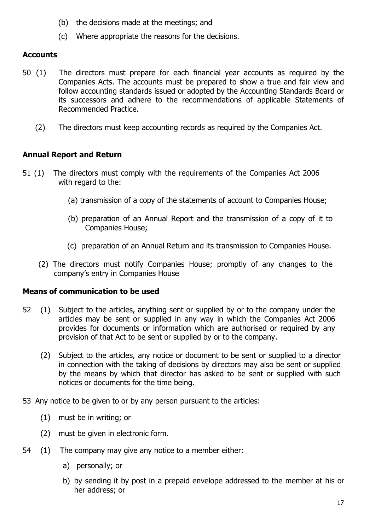- (b) the decisions made at the meetings; and
- (c) Where appropriate the reasons for the decisions.

# **Accounts**

- 50 (1) The directors must prepare for each financial year accounts as required by the Companies Acts. The accounts must be prepared to show a true and fair view and follow accounting standards issued or adopted by the Accounting Standards Board or its successors and adhere to the recommendations of applicable Statements of Recommended Practice.
	- (2) The directors must keep accounting records as required by the Companies Act.

# Annual Report and Return

- 51 (1) The directors must comply with the requirements of the Companies Act 2006 with regard to the:
	- (a) transmission of a copy of the statements of account to Companies House;
	- (b) preparation of an Annual Report and the transmission of a copy of it to Companies House;
	- (c) preparation of an Annual Return and its transmission to Companies House.
	- (2) The directors must notify Companies House; promptly of any changes to the company's entry in Companies House

# Means of communication to be used

- 52 (1) Subject to the articles, anything sent or supplied by or to the company under the articles may be sent or supplied in any way in which the Companies Act 2006 provides for documents or information which are authorised or required by any provision of that Act to be sent or supplied by or to the company.
	- (2) Subject to the articles, any notice or document to be sent or supplied to a director in connection with the taking of decisions by directors may also be sent or supplied by the means by which that director has asked to be sent or supplied with such notices or documents for the time being.
- 53 Any notice to be given to or by any person pursuant to the articles:
	- (1) must be in writing; or
	- (2) must be given in electronic form.
- 54 (1) The company may give any notice to a member either:
	- a) personally; or
	- b) by sending it by post in a prepaid envelope addressed to the member at his or her address; or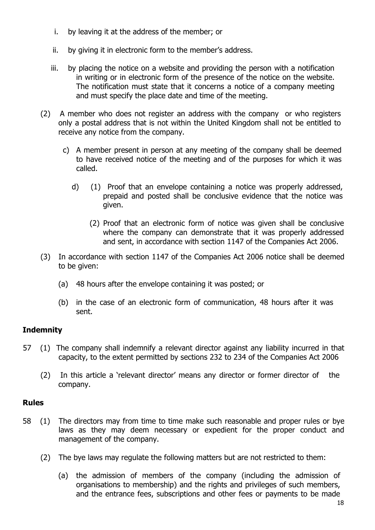- i. by leaving it at the address of the member; or
- ii. by giving it in electronic form to the member's address.
- iii. by placing the notice on a website and providing the person with a notification in writing or in electronic form of the presence of the notice on the website. The notification must state that it concerns a notice of a company meeting and must specify the place date and time of the meeting.
- (2) A member who does not register an address with the company or who registers only a postal address that is not within the United Kingdom shall not be entitled to receive any notice from the company.
	- c) A member present in person at any meeting of the company shall be deemed to have received notice of the meeting and of the purposes for which it was called.
		- d) (1) Proof that an envelope containing a notice was properly addressed, prepaid and posted shall be conclusive evidence that the notice was given.
			- (2) Proof that an electronic form of notice was given shall be conclusive where the company can demonstrate that it was properly addressed and sent, in accordance with section 1147 of the Companies Act 2006.
- (3) In accordance with section 1147 of the Companies Act 2006 notice shall be deemed to be given:
	- (a) 48 hours after the envelope containing it was posted; or
	- (b) in the case of an electronic form of communication, 48 hours after it was sent.

# **Indemnity**

- 57 (1) The company shall indemnify a relevant director against any liability incurred in that capacity, to the extent permitted by sections 232 to 234 of the Companies Act 2006
	- (2) In this article a 'relevant director' means any director or former director of the company.

# Rules

- 58 (1) The directors may from time to time make such reasonable and proper rules or bye laws as they may deem necessary or expedient for the proper conduct and management of the company.
	- (2) The bye laws may regulate the following matters but are not restricted to them:
		- (a) the admission of members of the company (including the admission of organisations to membership) and the rights and privileges of such members, and the entrance fees, subscriptions and other fees or payments to be made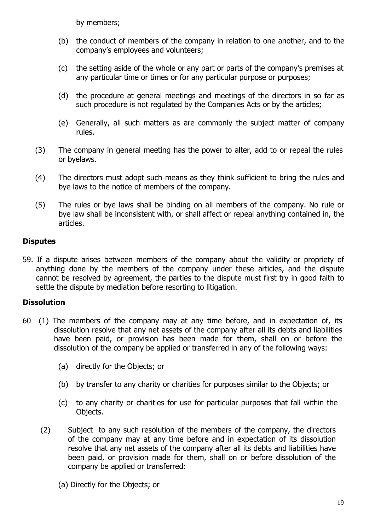by members;

- (b) the conduct of members of the company in relation to one another, and to the company's employees and volunteers;
- (c) the setting aside of the whole or any part or parts of the company's premises at any particular time or times or for any particular purpose or purposes;
- (d) the procedure at general meetings and meetings of the directors in so far as such procedure is not regulated by the Companies Acts or by the articles;
- (e) Generally, all such matters as are commonly the subject matter of company rules.
- (3) The company in general meeting has the power to alter, add to or repeal the rules or byelaws.
- (4) The directors must adopt such means as they think sufficient to bring the rules and bye laws to the notice of members of the company.
- (5) The rules or bye laws shall be binding on all members of the company. No rule or bye law shall be inconsistent with, or shall affect or repeal anything contained in, the articles.

# **Disputes**

59. If a dispute arises between members of the company about the validity or propriety of anything done by the members of the company under these articles, and the dispute cannot be resolved by agreement, the parties to the dispute must first try in good faith to settle the dispute by mediation before resorting to litigation.

# **Dissolution**

- 60 (1) The members of the company may at any time before, and in expectation of, its dissolution resolve that any net assets of the company after all its debts and liabilities have been paid, or provision has been made for them, shall on or before the dissolution of the company be applied or transferred in any of the following ways:
	- (a) directly for the Objects; or
	- (b) by transfer to any charity or charities for purposes similar to the Objects; or
	- (c) to any charity or charities for use for particular purposes that fall within the Objects.
	- (2) Subject to any such resolution of the members of the company, the directors of the company may at any time before and in expectation of its dissolution resolve that any net assets of the company after all its debts and liabilities have been paid, or provision made for them, shall on or before dissolution of the company be applied or transferred:
		- (a) Directly for the Objects; or